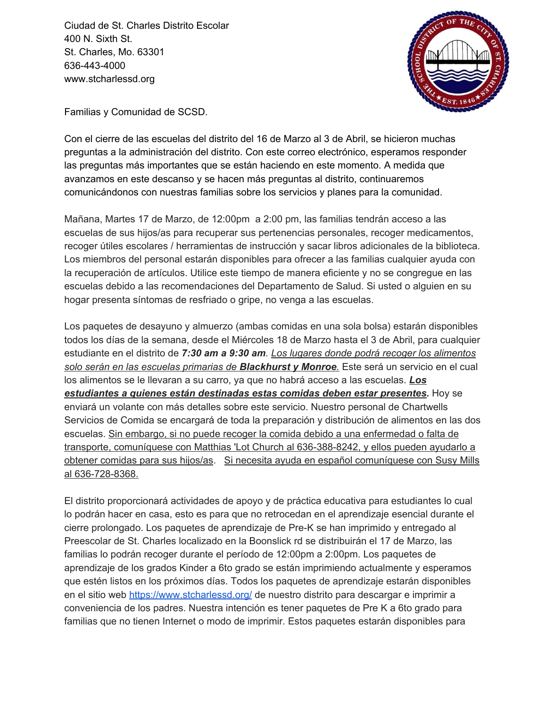Ciudad de St. Charles Distrito Escolar 400 N. Sixth St. St. Charles, Mo. 63301 636-443-4000 www.stcharlessd.org



Familias y Comunidad de SCSD.

Con el cierre de las escuelas del distrito del 16 de Marzo al 3 de Abril, se hicieron muchas preguntas a la administración del distrito. Con este correo electrónico, esperamos responder las preguntas más importantes que se están haciendo en este momento. A medida que avanzamos en este descanso y se hacen más preguntas al distrito, continuaremos comunicándonos con nuestras familias sobre los servicios y planes para la comunidad.

Mañana, Martes 17 de Marzo, de 12:00pm a 2:00 pm, las familias tendrán acceso a las escuelas de sus hijos/as para recuperar sus pertenencias personales, recoger medicamentos, recoger útiles escolares / herramientas de instrucción y sacar libros adicionales de la biblioteca. Los miembros del personal estarán disponibles para ofrecer a las familias cualquier ayuda con la recuperación de artículos. Utilice este tiempo de manera eficiente y no se congregue en las escuelas debido a las recomendaciones del Departamento de Salud. Si usted o alguien en su hogar presenta síntomas de resfriado o gripe, no venga a las escuelas.

Los paquetes de desayuno y almuerzo (ambas comidas en una sola bolsa) estarán disponibles todos los días de la semana, desde el Miércoles 18 de Marzo hasta el 3 de Abril, para cualquier estudiante en el distrito de *7:30 am a 9:30 am. Los lugares donde podrá recoger los alimentos solo serán en las escuelas primarias de Blackhurst y Monroe.* Este será un servicio en el cual los alimentos se le llevaran a su carro, ya que no habrá acceso a las escuelas. *Los estudiantes a quienes están destinadas estas comidas deben estar presentes.* Hoy se enviará un volante con más detalles sobre este servicio. Nuestro personal de Chartwells Servicios de Comida se encargará de toda la preparación y distribución de alimentos en las dos escuelas. Sin embargo, si no puede recoger la comida debido a una enfermedad o falta de transporte, comuníquese con Matthias 'Lot Church al 636-388-8242, y ellos pueden ayudarlo a obtener comidas para sus hijos/as. Si necesita ayuda en español comuníquese con Susy Mills al 636-728-8368.

El distrito proporcionará actividades de apoyo y de práctica educativa para estudiantes lo cual lo podrán hacer en casa, esto es para que no retrocedan en el aprendizaje esencial durante el cierre prolongado. Los paquetes de aprendizaje de Pre-K se han imprimido y entregado al Preescolar de St. Charles localizado en la Boonslick rd se distribuirán el 17 de Marzo, las familias lo podrán recoger durante el período de 12:00pm a 2:00pm. Los paquetes de aprendizaje de los grados Kinder a 6to grado se están imprimiendo actualmente y esperamos que estén listos en los próximos días. Todos los paquetes de aprendizaje estarán disponibles en el sitio web <https://www.stcharlessd.org/> de nuestro distrito para descargar e imprimir a conveniencia de los padres. Nuestra intención es tener paquetes de Pre K a 6to grado para familias que no tienen Internet o modo de imprimir. Estos paquetes estarán disponibles para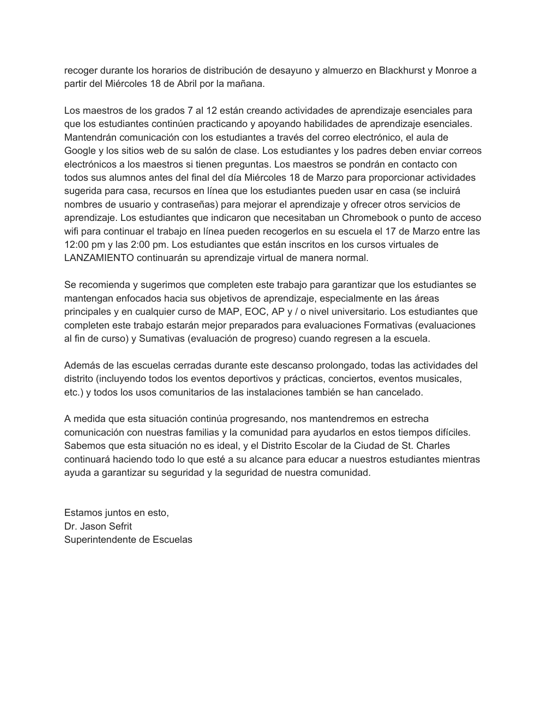recoger durante los horarios de distribución de desayuno y almuerzo en Blackhurst y Monroe a partir del Miércoles 18 de Abril por la mañana.

Los maestros de los grados 7 al 12 están creando actividades de aprendizaje esenciales para que los estudiantes continúen practicando y apoyando habilidades de aprendizaje esenciales. Mantendrán comunicación con los estudiantes a través del correo electrónico, el aula de Google y los sitios web de su salón de clase. Los estudiantes y los padres deben enviar correos electrónicos a los maestros si tienen preguntas. Los maestros se pondrán en contacto con todos sus alumnos antes del final del día Miércoles 18 de Marzo para proporcionar actividades sugerida para casa, recursos en línea que los estudiantes pueden usar en casa (se incluirá nombres de usuario y contraseñas) para mejorar el aprendizaje y ofrecer otros servicios de aprendizaje. Los estudiantes que indicaron que necesitaban un Chromebook o punto de acceso wifi para continuar el trabajo en línea pueden recogerlos en su escuela el 17 de Marzo entre las 12:00 pm y las 2:00 pm. Los estudiantes que están inscritos en los cursos virtuales de LANZAMIENTO continuarán su aprendizaje virtual de manera normal.

Se recomienda y sugerimos que completen este trabajo para garantizar que los estudiantes se mantengan enfocados hacia sus objetivos de aprendizaje, especialmente en las áreas principales y en cualquier curso de MAP, EOC, AP y / o nivel universitario. Los estudiantes que completen este trabajo estarán mejor preparados para evaluaciones Formativas (evaluaciones al fin de curso) y Sumativas (evaluación de progreso) cuando regresen a la escuela.

Además de las escuelas cerradas durante este descanso prolongado, todas las actividades del distrito (incluyendo todos los eventos deportivos y prácticas, conciertos, eventos musicales, etc.) y todos los usos comunitarios de las instalaciones también se han cancelado.

A medida que esta situación continúa progresando, nos mantendremos en estrecha comunicación con nuestras familias y la comunidad para ayudarlos en estos tiempos difíciles. Sabemos que esta situación no es ideal, y el Distrito Escolar de la Ciudad de St. Charles continuará haciendo todo lo que esté a su alcance para educar a nuestros estudiantes mientras ayuda a garantizar su seguridad y la seguridad de nuestra comunidad.

Estamos juntos en esto, Dr. Jason Sefrit Superintendente de Escuelas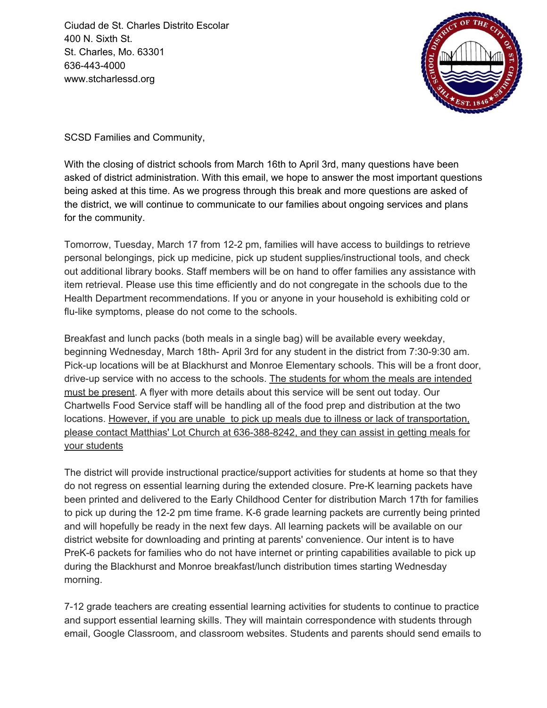Ciudad de St. Charles Distrito Escolar 400 N. Sixth St. St. Charles, Mo. 63301 636-443-4000 www.stcharlessd.org



SCSD Families and Community,

With the closing of district schools from March 16th to April 3rd, many questions have been asked of district administration. With this email, we hope to answer the most important questions being asked at this time. As we progress through this break and more questions are asked of the district, we will continue to communicate to our families about ongoing services and plans for the community.

Tomorrow, Tuesday, March 17 from 12-2 pm, families will have access to buildings to retrieve personal belongings, pick up medicine, pick up student supplies/instructional tools, and check out additional library books. Staff members will be on hand to offer families any assistance with item retrieval. Please use this time efficiently and do not congregate in the schools due to the Health Department recommendations. If you or anyone in your household is exhibiting cold or flu-like symptoms, please do not come to the schools.

Breakfast and lunch packs (both meals in a single bag) will be available every weekday, beginning Wednesday, March 18th- April 3rd for any student in the district from 7:30-9:30 am. Pick-up locations will be at Blackhurst and Monroe Elementary schools. This will be a front door, drive-up service with no access to the schools. The students for whom the meals are intended must be present. A flyer with more details about this service will be sent out today. Our Chartwells Food Service staff will be handling all of the food prep and distribution at the two locations. However, if you are unable to pick up meals due to illness or lack of transportation, please contact Matthias' Lot Church at 636-388-8242, and they can assist in getting meals for your students

The district will provide instructional practice/support activities for students at home so that they do not regress on essential learning during the extended closure. Pre-K learning packets have been printed and delivered to the Early Childhood Center for distribution March 17th for families to pick up during the 12-2 pm time frame. K-6 grade learning packets are currently being printed and will hopefully be ready in the next few days. All learning packets will be available on our district website for downloading and printing at parents' convenience. Our intent is to have PreK-6 packets for families who do not have internet or printing capabilities available to pick up during the Blackhurst and Monroe breakfast/lunch distribution times starting Wednesday morning.

7-12 grade teachers are creating essential learning activities for students to continue to practice and support essential learning skills. They will maintain correspondence with students through email, Google Classroom, and classroom websites. Students and parents should send emails to